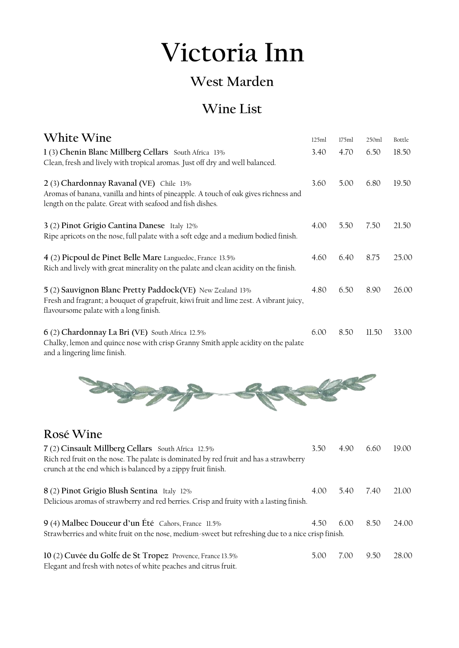## **Victoria Inn**

## **West Marden**

## **Wine List**

**White Wine** 125ml 175ml 250ml Bottle

| 1(3) Chenin Blanc Millberg Cellars South Africa 13%<br>Clean, fresh and lively with tropical aromas. Just off dry and well balanced.                                                                        | 3.40 | 4.70 | 6.50  | 18.50 |
|-------------------------------------------------------------------------------------------------------------------------------------------------------------------------------------------------------------|------|------|-------|-------|
| 2 (3) Chardonnay Ravanal (VE) Chile 13%<br>Aromas of banana, vanilla and hints of pineapple. A touch of oak gives richness and<br>length on the palate. Great with seafood and fish dishes.                 | 3.60 | 5.00 | 6.80  | 19.50 |
| 3 (2) Pinot Grigio Cantina Danese Italy 12%<br>Ripe apricots on the nose, full palate with a soft edge and a medium bodied finish.                                                                          | 4.00 | 5.50 | 7.50  | 21.50 |
| 4 (2) Picpoul de Pinet Belle Mare Languedoc, France 13.5%<br>Rich and lively with great minerality on the palate and clean acidity on the finish.                                                           | 4.60 | 6.40 | 8.75  | 25.00 |
| 5 (2) Sauvignon Blanc Pretty Paddock(VE) New Zealand 13%<br>Fresh and fragrant; a bouquet of grapefruit, kiwi fruit and lime zest. A vibrant juicy,<br>flavoursome palate with a long finish.               | 4.80 | 6.50 | 8.90  | 26.00 |
| 6 (2) Chardonnay La Bri (VE) South Africa 12.5%<br>Chalky, lemon and quince nose with crisp Granny Smith apple acidity on the palate<br>and a lingering lime finish.                                        | 6.00 | 8.50 | 11.50 | 33.00 |
|                                                                                                                                                                                                             |      |      |       |       |
|                                                                                                                                                                                                             |      |      |       |       |
| Rosé Wine                                                                                                                                                                                                   |      |      |       |       |
| 7 (2) Cinsault Millberg Cellars South Africa 12.5%<br>Rich red fruit on the nose. The palate is dominated by red fruit and has a strawberry<br>crunch at the end which is balanced by a zippy fruit finish. | 3.50 | 4.90 | 6.60  | 19.00 |
| 8 (2) Pinot Grigio Blush Sentina Italy 12%<br>Delicious aromas of strawberry and red berries. Crisp and fruity with a lasting finish.                                                                       | 4.00 | 5.40 | 7.40  | 21.00 |
| 9 (4) Malbec Douceur d'un Été Cahors, France 11.5%<br>Strawberries and white fruit on the nose, medium-sweet but refreshing due to a nice crisp finish.                                                     | 4.50 | 6.00 | 8.50  | 24.00 |